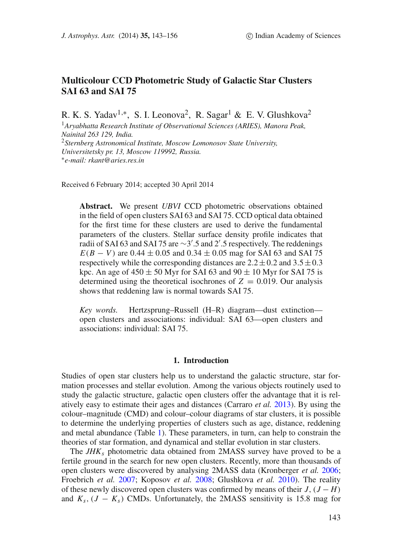# **Multicolour CCD Photometric Study of Galactic Star Clusters SAI 63 and SAI 75**

R. K. S. Yadav<sup>1,∗</sup>, S. I. Leonova<sup>2</sup>, R. Sagar<sup>1</sup> & E. V. Glushkova<sup>2</sup>

<sup>1</sup>*Aryabhatta Research Institute of Observational Sciences (ARIES), Manora Peak, Nainital 263 129, India.* <sup>2</sup>*Sternberg Astronomical Institute, Moscow Lomonosov State University, Universitetsky pr. 13, Moscow 119992, Russia.* ∗*e-mail: rkant@aries.res.in*

Received 6 February 2014; accepted 30 April 2014

**Abstract.** We present *UBVI* CCD photometric observations obtained in the field of open clusters SAI 63 and SAI 75. CCD optical data obtained for the first time for these clusters are used to derive the fundamental parameters of the clusters. Stellar surface density profile indicates that radii of SAI 63 and SAI 75 are ∼3'.5 and 2'.5 respectively. The reddenings  $E(B - V)$  are 0.44  $\pm$  0.05 and 0.34  $\pm$  0.05 mag for SAI 63 and SAI 75 respectively while the corresponding distances are  $2.2 \pm 0.2$  and  $3.5 \pm 0.3$ kpc. An age of  $450 \pm 50$  Myr for SAI 63 and  $90 \pm 10$  Myr for SAI 75 is determined using the theoretical isochrones of  $Z = 0.019$ . Our analysis shows that reddening law is normal towards SAI 75.

*Key words.* Hertzsprung–Russell (H–R) diagram—dust extinction open clusters and associations: individual: SAI 63—open clusters and associations: individual: SAI 75.

## **1. Introduction**

<span id="page-0-0"></span>Studies of open star clusters help us to understand the galactic structure, star formation processes and stellar evolution. Among the various objects routinely used to study the galactic structure, galactic open clusters offer the advantage that it is relatively easy to estimate their ages and distances (Carraro *et al.* [2013\)](#page-13-0). By using the colour–magnitude (CMD) and colour–colour diagrams of star clusters, it is possible to determine the underlying properties of clusters such as age, distance, reddening and metal abundance (Table [1\)](#page-1-0). These parameters, in turn, can help to constrain the theories of star formation, and dynamical and stellar evolution in star clusters.

The *JHK<sup>s</sup>* photometric data obtained from 2MASS survey have proved to be a fertile ground in the search for new open clusters. Recently, more than thousands of open clusters were discovered by analysing 2MASS data (Kronberger *et al.* [2006;](#page-13-1) Froebrich *et al.* [2007;](#page-13-2) Koposov *et al.* [2008;](#page-13-3) Glushkova *et al.* [2010\)](#page-13-4). The reality of these newly discovered open clusters was confirmed by means of their  $J$ ,  $(J - H)$ and  $K_s$ ,  $(J - K_s)$  CMDs. Unfortunately, the 2MASS sensitivity is 15.8 mag for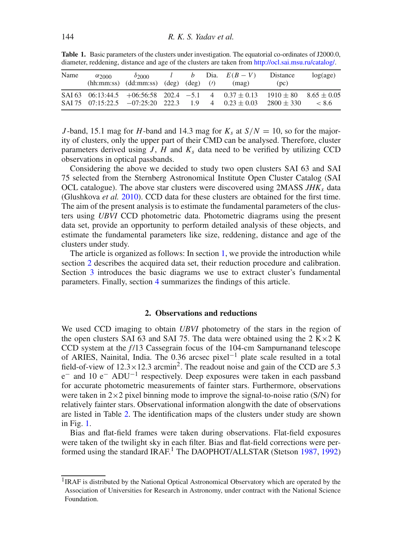| Name | $\alpha_{2000}$ | $\delta$ 2000<br>$(hh:mm:ss)$ $(dd:mm:ss)$ $(deg)$ $(deg)$ $(l)$ |  |                | <i>l b</i> Dia. $E(B-V)$<br>(mag)                                            | Distance<br>(pc)                                | log(age) |
|------|-----------------|------------------------------------------------------------------|--|----------------|------------------------------------------------------------------------------|-------------------------------------------------|----------|
|      |                 | SAI 75 07:15:22.5 $-07:25:20$ 222.3 1.9                          |  | $\overline{4}$ | SAI 63 06:13:44.5 + 06:56:58 202.4 -5.1 4 0.37 $\pm$ 0.13<br>$0.23 \pm 0.03$ | $1910 \pm 80$ $8.65 \pm 0.05$<br>$2800 \pm 330$ | < 8.6    |

<span id="page-1-0"></span>**Table 1.** Basic parameters of the clusters under investigation. The equatorial co-ordinates of J2000.0, diameter, reddening, distance and age of the clusters are taken from [http://ocl.sai.msu.ru/catalog/.](http://ocl.sai.msu.ru/catalog/)

*J*-band, 15.1 mag for *H*-band and 14.3 mag for  $K_s$  at  $S/N = 10$ , so for the majority of clusters, only the upper part of their CMD can be analysed. Therefore, cluster parameters derived using  $J$ ,  $H$  and  $K_s$  data need to be verified by utilizing CCD observations in optical passbands.

Considering the above we decided to study two open clusters SAI 63 and SAI 75 selected from the Sternberg Astronomical Institute Open Cluster Catalog (SAI OCL catalogue). The above star clusters were discovered using 2MASS *JHK<sup>s</sup>* data (Glushkova *et al.* [2010\)](#page-13-4). CCD data for these clusters are obtained for the first time. The aim of the present analysis is to estimate the fundamental parameters of the clusters using *UBVI* CCD photometric data. Photometric diagrams using the present data set, provide an opportunity to perform detailed analysis of these objects, and estimate the fundamental parameters like size, reddening, distance and age of the clusters under study.

The article is organized as follows: In section [1,](#page-0-0) we provide the introduction while section [2](#page-1-1) describes the acquired data set, their reduction procedure and calibration. Section [3](#page-4-0) introduces the basic diagrams we use to extract cluster's fundamental parameters. Finally, section [4](#page-12-0) summarizes the findings of this article.

### **2. Observations and reductions**

<span id="page-1-1"></span>We used CCD imaging to obtain *UBVI* photometry of the stars in the region of the open clusters SAI 63 and SAI 75. The data were obtained using the 2 K $\times$ 2 K CCD system at the *f* /13 Cassegrain focus of the 104-cm Sampurnanand telescope of ARIES, Nainital, India. The 0.36 arcsec pixel−<sup>1</sup> plate scale resulted in a total field-of-view of  $12.3 \times 12.3$  arcmin<sup>2</sup>. The readout noise and gain of the CCD are 5.3 e<sup>−</sup> and 10 e<sup>−</sup> ADU−<sup>1</sup> respectively. Deep exposures were taken in each passband for accurate photometric measurements of fainter stars. Furthermore, observations were taken in  $2\times2$  pixel binning mode to improve the signal-to-noise ratio (S/N) for relatively fainter stars. Observational information alongwith the date of observations are listed in Table [2.](#page-2-0) The identification maps of the clusters under study are shown in Fig. [1.](#page-2-1)

Bias and flat-field frames were taken during observations. Flat-field exposures were taken of the twilight sky in each filter. Bias and flat-field corrections were per-formed using the standard IRAF.<sup>1</sup> The DAOPHOT/ALLSTAR (Stetson [1987,](#page-13-5) 1992)

<span id="page-1-2"></span><sup>&</sup>lt;sup>1</sup>IRAF is distributed by the National Optical Astronomical Observatory which are operated by the Association of Universities for Research in Astronomy, under contract with the National Science Foundation.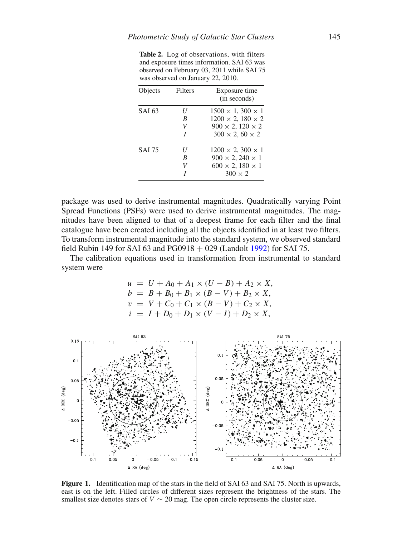<span id="page-2-0"></span>**Table 2.** Log of observations, with filters and exposure times information. SAI 63 was observed on February 03, 2011 while SAI 75 was observed on January 22, 2010.

| Objects       | Filters     | Exposure time<br>(in seconds)                                                                                               |
|---------------|-------------|-----------------------------------------------------------------------------------------------------------------------------|
| SAI 63        | H<br>B<br>V | $1500 \times 1,300 \times 1$<br>$1200 \times 2, 180 \times 2$<br>$900 \times 2, 120 \times 2$<br>$300 \times 2,60 \times 2$ |
| <b>SAI 75</b> | H<br>B<br>V | $1200 \times 2,300 \times 1$<br>$900 \times 2,240 \times 1$<br>$600 \times 2,180 \times 1$<br>$300 \times 2$                |

package was used to derive instrumental magnitudes. Quadratically varying Point Spread Functions (PSFs) were used to derive instrumental magnitudes. The magnitudes have been aligned to that of a deepest frame for each filter and the final catalogue have been created including all the objects identified in at least two filters. To transform instrumental magnitude into the standard system, we observed standard field Rubin 149 for SAI 63 and  $PG0918 + 029$  (Landolt [1992\)](#page-13-6) for SAI 75.

The calibration equations used in transformation from instrumental to standard system were

$$
u = U + A_0 + A_1 \times (U - B) + A_2 \times X,
$$
  
\n
$$
b = B + B_0 + B_1 \times (B - V) + B_2 \times X,
$$
  
\n
$$
v = V + C_0 + C_1 \times (B - V) + C_2 \times X,
$$
  
\n
$$
i = I + D_0 + D_1 \times (V - I) + D_2 \times X,
$$

<span id="page-2-1"></span>

Figure 1. Identification map of the stars in the field of SAI 63 and SAI 75. North is upwards, east is on the left. Filled circles of different sizes represent the brightness of the stars. The smallest size denotes stars of  $V \sim 20$  mag. The open circle represents the cluster size.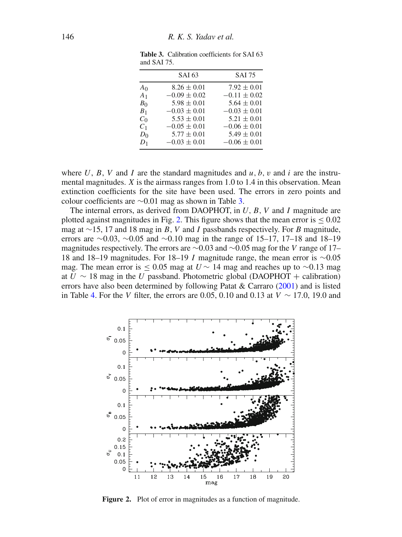|                                  | SAI 63                              | <b>SAI 75</b>                       |
|----------------------------------|-------------------------------------|-------------------------------------|
| A <sub>0</sub>                   | $8.26 \pm 0.01$                     | $7.92 \pm 0.01$                     |
| A <sub>1</sub><br>B <sub>0</sub> | $-0.09 \pm 0.02$<br>$5.98 \pm 0.01$ | $-0.11 \pm 0.02$<br>$5.64 \pm 0.01$ |
| B <sub>1</sub>                   | $-0.03 \pm 0.01$                    | $-0.03 \pm 0.01$                    |
| C <sub>0</sub><br>C <sub>1</sub> | $5.53 \pm 0.01$<br>$-0.05 \pm 0.01$ | $5.21 \pm 0.01$<br>$-0.06 \pm 0.01$ |
| $D_0$<br>$D_1$                   | $5.77 \pm 0.01$<br>$-0.03 \pm 0.01$ | $5.49 \pm 0.01$<br>$-0.06 \pm 0.01$ |
|                                  |                                     |                                     |

<span id="page-3-0"></span>**Table 3.** Calibration coefficients for SAI 63 and SAI 75.

where  $U$ ,  $B$ ,  $V$  and  $I$  are the standard magnitudes and  $u$ ,  $b$ ,  $v$  and  $i$  are the instrumental magnitudes. *X* is the airmass ranges from 1.0 to 1.4 in this observation. Mean extinction coefficients for the site have been used. The errors in zero points and colour coefficients are ∼0.01 mag as shown in Table [3.](#page-3-0)

The internal errors, as derived from DAOPHOT, in *U*, *B*, *V* and *I* magnitude are plotted against magnitudes in Fig. [2.](#page-3-1) This figure shows that the mean error is  $\leq 0.02$ mag at ∼15, 17 and 18 mag in *B*, *V* and *I* passbands respectively. For *B* magnitude, errors are  $\sim$ 0.03,  $\sim$ 0.05 and  $\sim$ 0.10 mag in the range of 15–17, 17–18 and 18–19 magnitudes respectively. The errors are ∼0.03 and ∼0.05 mag for the *V* range of 17– 18 and 18–19 magnitudes. For 18–19 *I* magnitude range, the mean error is ∼0.05 mag. The mean error is  $\leq 0.05$  mag at *U*  $\sim 14$  mag and reaches up to  $\sim 0.13$  mag at  $U \sim 18$  mag in the *U* passband. Photometric global (DAOPHOT + calibration) errors have also been determined by following Patat & Carraro [\(2001\)](#page-13-7) and is listed in Table [4.](#page-4-1) For the *V* filter, the errors are 0.05, 0.10 and 0.13 at  $V \sim 17.0$ , 19.0 and

<span id="page-3-1"></span>

Figure 2. Plot of error in magnitudes as a function of magnitude.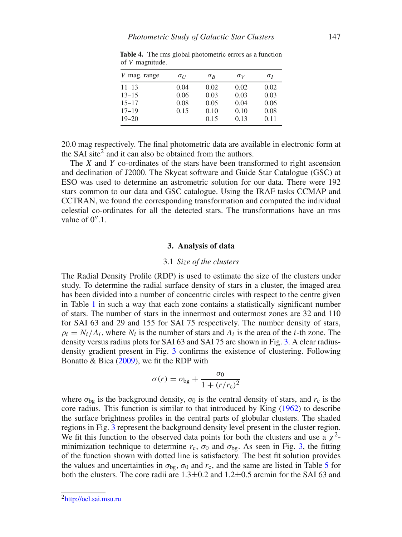| mag. range<br>V | $\sigma$ <sub>II</sub> | $\sigma_R$ | $\sigma_V$ | $\sigma_I$ |
|-----------------|------------------------|------------|------------|------------|
| $11 - 13$       | 0.04                   | 0.02       | 0.02       | 0.02       |
| $13 - 15$       | 0.06                   | 0.03       | 0.03       | 0.03       |
| $15 - 17$       | 0.08                   | 0.05       | 0.04       | 0.06       |
| $17 - 19$       | 0.15                   | 0.10       | 0.10       | 0.08       |
| $19 - 20$       |                        | 0.15       | 0.13       | 0.11       |

<span id="page-4-1"></span>**Table 4.** The rms global photometric errors as a function of *V* magnitude.

20.0 mag respectively. The final photometric data are available in electronic form at the SAI site<sup>[2](#page-4-2)</sup> and it can also be obtained from the authors.

The *X* and *Y* co-ordinates of the stars have been transformed to right ascension and declination of J2000. The Skycat software and Guide Star Catalogue (GSC) at ESO was used to determine an astrometric solution for our data. There were 192 stars common to our data and GSC catalogue. Using the IRAF tasks CCMAP and CCTRAN, we found the corresponding transformation and computed the individual celestial co-ordinates for all the detected stars. The transformations have an rms value of  $0^{\prime\prime}$ .1.

#### **3. Analysis of data**

### 3.1 *Size of the clusters*

<span id="page-4-0"></span>The Radial Density Profile (RDP) is used to estimate the size of the clusters under study. To determine the radial surface density of stars in a cluster, the imaged area has been divided into a number of concentric circles with respect to the centre given in Table [1](#page-1-0) in such a way that each zone contains a statistically significant number of stars. The number of stars in the innermost and outermost zones are 32 and 110 for SAI 63 and 29 and 155 for SAI 75 respectively. The number density of stars,  $\rho_i = N_i/A_i$ , where  $N_i$  is the number of stars and  $A_i$  is the area of the *i*-th zone. The density versus radius plots for SAI 63 and SAI 75 are shown in Fig. [3.](#page-5-0) A clear radiusdensity gradient present in Fig. [3](#page-5-0) confirms the existence of clustering. Following Bonatto  $& Bica (2009)$  $& Bica (2009)$ , we fit the RDP with

$$
\sigma(r) = \sigma_{bg} + \frac{\sigma_0}{1 + (r/r_c)^2}
$$

where  $\sigma_{bg}$  is the background density,  $\sigma_0$  is the central density of stars, and  $r_c$  is the core radius. This function is similar to that introduced by King [\(1962\)](#page-13-8) to describe the surface brightness profiles in the central parts of globular clusters. The shaded regions in Fig. [3](#page-5-0) represent the background density level present in the cluster region. We fit this function to the observed data points for both the clusters and use a  $\chi^2$ minimization technique to determine  $r_c$ ,  $\sigma_0$  and  $\sigma_{\rm bg}$ . As seen in Fig. [3,](#page-5-0) the fitting of the function shown with dotted line is satisfactory. The best fit solution provides the values and uncertainties in  $\sigma_{\text{bg}}$ ,  $\sigma_0$  and  $r_c$ , and the same are listed in Table [5](#page-5-1) for both the clusters. The core radii are  $1.3\pm0.2$  and  $1.2\pm0.5$  arcmin for the SAI 63 and

<span id="page-4-2"></span>[<sup>2</sup>http://ocl.sai.msu.ru](http://ocl.sai.msu.ru)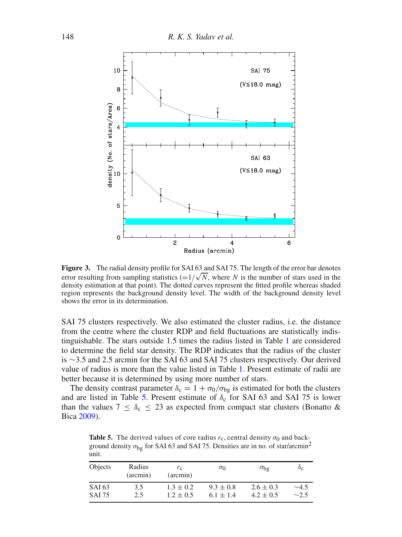<span id="page-5-0"></span>

Figure 3. The radial density profile for SAI 63 and SAI 75. The length of the error bar denotes error resulting from sampling statistics  $(=1/\sqrt{N}$ , where *N* is the number of stars used in the density estimation at that point). The dotted curves represent the fitted profile whereas shaded region represents the background density level. The width of the background density level shows the error in its determination.

SAI 75 clusters respectively. We also estimated the cluster radius, i.e. the distance from the centre where the cluster RDP and field fluctuations are statistically indistinguishable. The stars outside 1.5 times the radius listed in Table [1](#page-1-0) are considered to determine the field star density. The RDP indicates that the radius of the cluster is ∼3.5 and 2.5 arcmin for the SAI 63 and SAI 75 clusters respectively. Our derived value of radius is more than the value listed in Table [1.](#page-1-0) Present estimate of radii are better because it is determined by using more number of stars.

The density contrast parameter  $\delta_c = 1 + \sigma_0/\sigma_{bg}$  is estimated for both the clusters and are listed in Table [5.](#page-5-1) Present estimate of  $\delta_c$  for SAI 63 and SAI 75 is lower than the values  $7 \leq \delta_c \leq 23$  as expected from compact star clusters (Bonatto & Bica [2009\)](#page-12-1).

<span id="page-5-1"></span>**Table 5.** The derived values of core radius  $r_c$ , central density  $\sigma_0$  and background density  $\sigma_{bg}$  for SAI 63 and SAI 75. Densities are in no. of star/arcmin<sup>2</sup> unit.

| <b>Objects</b> | Radius<br>(arcmin) | $r_{\rm c}$<br>(arcmin) | $\sigma_0$    | $\sigma_{bg}$ | $\delta_{\rm C}$ |
|----------------|--------------------|-------------------------|---------------|---------------|------------------|
| SAI 63         | 3.5                | $1.3 \pm 0.2$           | $9.3 \pm 0.8$ | $2.6 \pm 0.3$ | $\sim$ 4.5       |
| <b>SAI 75</b>  | 2.5                | $1.2 \pm 0.5$           | $6.1 \pm 1.4$ | $4.2 \pm 0.5$ | $\sim$ 2.5       |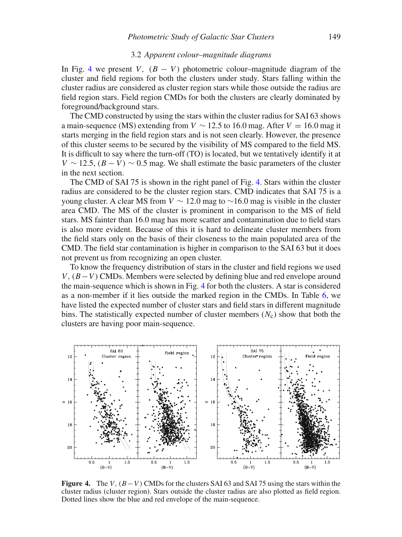### 3.2 *Apparent colour–magnitude diagrams*

<span id="page-6-1"></span>In Fig. [4](#page-6-0) we present *V*,  $(B - V)$  photometric colour–magnitude diagram of the cluster and field regions for both the clusters under study. Stars falling within the cluster radius are considered as cluster region stars while those outside the radius are field region stars. Field region CMDs for both the clusters are clearly dominated by foreground/background stars.

The CMD constructed by using the stars within the cluster radius for SAI 63 shows a main-sequence (MS) extending from  $V \sim 12.5$  to 16.0 mag. After  $V = 16.0$  mag it starts merging in the field region stars and is not seen clearly. However, the presence of this cluster seems to be secured by the visibility of MS compared to the field MS. It is difficult to say where the turn-off (TO) is located, but we tentatively identify it at  $V \sim 12.5$ ,  $(B - V) \sim 0.5$  mag. We shall estimate the basic parameters of the cluster in the next section.

The CMD of SAI 75 is shown in the right panel of Fig. [4.](#page-6-0) Stars within the cluster radius are considered to be the cluster region stars. CMD indicates that SAI 75 is a young cluster. A clear MS from  $V \sim 12.0$  mag to  $\sim 16.0$  mag is visible in the cluster area CMD. The MS of the cluster is prominent in comparison to the MS of field stars. MS fainter than 16.0 mag has more scatter and contamination due to field stars is also more evident. Because of this it is hard to delineate cluster members from the field stars only on the basis of their closeness to the main populated area of the CMD. The field star contamination is higher in comparison to the SAI 63 but it does not prevent us from recognizing an open cluster.

To know the frequency distribution of stars in the cluster and field regions we used *V*,  $(B-V)$  CMDs. Members were selected by defining blue and red envelope around the main-sequence which is shown in Fig. [4](#page-6-0) for both the clusters. A star is considered as a non-member if it lies outside the marked region in the CMDs. In Table [6,](#page-7-0) we have listed the expected number of cluster stars and field stars in different magnitude bins. The statistically expected number of cluster members  $(N_c)$  show that both the clusters are having poor main-sequence.

<span id="page-6-0"></span>

**Figure 4.** The *V*,  $(B-V)$  CMDs for the clusters SAI 63 and SAI 75 using the stars within the cluster radius (cluster region). Stars outside the cluster radius are also plotted as field region. Dotted lines show the blue and red envelope of the main-sequence.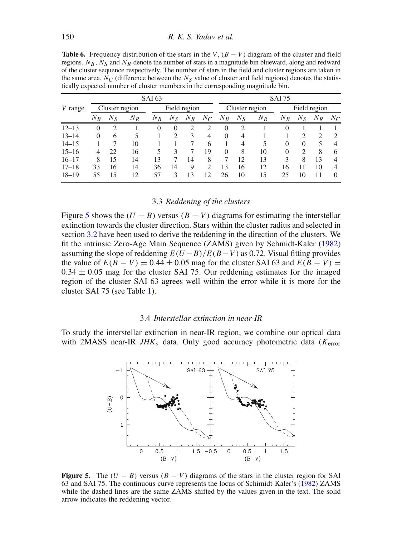<span id="page-7-0"></span>**Table 6.** Frequency distribution of the stars in the *V*,  $(B - V)$  diagram of the cluster and field regions.  $N_B$ ,  $N_S$  and  $N_R$  denote the number of stars in a magnitude bin blueward, along and redward of the cluster sequence respectively. The number of stars in the field and cluster regions are taken in the same area.  $N_C$  (difference between the  $N_S$  value of cluster and field regions) denotes the statistically expected number of cluster members in the corresponding magnitude bin.

|           | SAI 63         |         |       |              |          |       | <b>SAI 75</b>  |          |                |              |          |          |               |                |
|-----------|----------------|---------|-------|--------------|----------|-------|----------------|----------|----------------|--------------|----------|----------|---------------|----------------|
| V range   | Cluster region |         |       | Field region |          |       | Cluster region |          |                | Field region |          |          |               |                |
|           | $N_R$          | $N_{S}$ | $N_R$ | $N_B$        | $N_{S}$  | $N_R$ | $N_C$          | $N_B$    | $N_S$          | $N_R$        | $N_B$    | $N_{S}$  | $N_R$         | $N_C$          |
| $12 - 13$ | $\theta$       | 2       |       | $\Omega$     | $\Omega$ | າ     | 2              | $\Omega$ | $\overline{c}$ |              | $\Omega$ |          |               |                |
| $13 - 14$ | 0              | 6       | 5     |              | ∍        | 3     | 4              | $\theta$ | $\overline{4}$ |              |          | ∍        | $\mathcal{D}$ | 2              |
| $14 - 15$ |                |         | 10    |              |          |       | 6              |          | 4              | 5            | $\theta$ | $\Omega$ | 5             | $\overline{4}$ |
| $15 - 16$ | 4              | 22      | 16    | 5            | 3        |       | 19             | $\Omega$ | 8              | 10           | 0        |          | 8             | 6              |
| $16 - 17$ | 8              | 15      | 14    | 13           |          | 14    | 8              | 7        | 12             | 13           | 3        | 8        | 13            | $\overline{4}$ |
| $17 - 18$ | 33             | 16      | 14    | 36           | 14       | 9     | っ              | 13       | 16             | 12           | 16       | 11       | 10            | $\overline{4}$ |
| $18 - 19$ | 55             | 15      | 12    | 57           | 3        | 13    | 12             | 26       | 10             | 15           | 25       | 10       |               | $\Omega$       |

## 3.3 *Reddening of the clusters*

<span id="page-7-2"></span>Figure [5](#page-7-1) shows the  $(U - B)$  versus  $(B - V)$  diagrams for estimating the interstellar extinction towards the cluster direction. Stars within the cluster radius and selected in section [3.2](#page-6-1) have been used to derive the reddening in the direction of the clusters. We fit the intrinsic Zero-Age Main Sequence (ZAMS) given by Schmidt-Kaler (1982) assuming the slope of reddening  $E(U-B)/E(B-V)$  as 0.72. Visual fitting provides the value of  $E(B - V) = 0.44 \pm 0.05$  mag for the cluster SAI 63 and  $E(B - V) =$  $0.34 \pm 0.05$  mag for the cluster SAI 75. Our reddening estimates for the imaged region of the cluster SAI 63 agrees well within the error while it is more for the cluster SAI 75 (see Table [1\)](#page-1-0).

### 3.4 *Interstellar extinction in near-IR*

<span id="page-7-1"></span>To study the interstellar extinction in near-IR region, we combine our optical data with 2MASS near-IR *JHK<sup>s</sup>* data. Only good accuracy photometric data (*K*error



**Figure 5.** The  $(U - B)$  versus  $(B - V)$  diagrams of the stars in the cluster region for SAI 63 and SAI 75. The continuous curve represents the locus of Schimidt-Kaler's (1982) ZAMS while the dashed lines are the same ZAMS shifted by the values given in the text. The solid arrow indicates the reddening vector.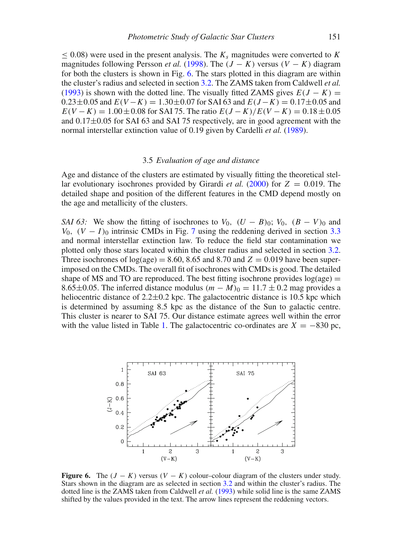$<$  0.08) were used in the present analysis. The  $K_s$  magnitudes were converted to  $K$ magnitudes following Persson *et al.* [\(1998\)](#page-13-9). The  $(J - K)$  versus  $(V - K)$  diagram for both the clusters is shown in Fig. [6.](#page-8-0) The stars plotted in this diagram are within the cluster's radius and selected in section [3.2.](#page-6-1) The ZAMS taken from Caldwell *et al.* (1993) is shown with the dotted line. The visually fitted ZAMS gives  $E(J - K)$  =  $0.23 \pm 0.05$  and  $E(V - K) = 1.30 \pm 0.07$  for SAI 63 and  $E(J - K) = 0.17 \pm 0.05$  and  $E(V - K) = 1.00 \pm 0.08$  for SAI 75. The ratio  $E(J - K)/E(V - K) = 0.18 \pm 0.05$ and 0.17±0*.*05 for SAI 63 and SAI 75 respectively, are in good agreement with the normal interstellar extinction value of 0.19 given by Cardelli *et al.* [\(1989\)](#page-13-10).

## 3.5 *Evaluation of age and distance*

Age and distance of the clusters are estimated by visually fitting the theoretical stellar evolutionary isochrones provided by Girardi *et al.* [\(2000\)](#page-13-11) for *Z* = 0*.*019. The detailed shape and position of the different features in the CMD depend mostly on the age and metallicity of the clusters.

*SAI 63:* We show the fitting of isochrones to  $V_0$ ,  $(U - B)_0$ ;  $V_0$ ,  $(B - V)_0$  and *V*<sub>0</sub>*,*  $(V - I)$ <sup>0</sup> intrinsic CMDs in Fig. [7](#page-9-0) using the reddening derived in section [3.3](#page-7-2) and normal interstellar extinction law. To reduce the field star contamination we plotted only those stars located within the cluster radius and selected in section [3.2.](#page-6-1) Three isochrones of  $log(age) = 8.60, 8.65$  and  $8.70$  and  $Z = 0.019$  have been superimposed on the CMDs. The overall fit of isochrones with CMDs is good. The detailed shape of MS and TO are reproduced. The best fitting isochrone provides  $log(age)$  = 8.65±0.05. The inferred distance modulus  $(m - M)_0 = 11.7 \pm 0.2$  mag provides a heliocentric distance of  $2.2 \pm 0.2$  kpc. The galactocentric distance is 10.5 kpc which is determined by assuming 8.5 kpc as the distance of the Sun to galactic centre. This cluster is nearer to SAI 75. Our distance estimate agrees well within the error with the value listed in Table [1.](#page-1-0) The galactocentric co-ordinates are  $X = -830$  pc,

<span id="page-8-0"></span>

**Figure 6.** The  $(J - K)$  versus  $(V - K)$  colour–colour diagram of the clusters under study. Stars shown in the diagram are as selected in section [3.2](#page-6-1) and within the cluster's radius. The dotted line is the ZAMS taken from Caldwell *et al.* (1993) while solid line is the same ZAMS shifted by the values provided in the text. The arrow lines represent the reddening vectors.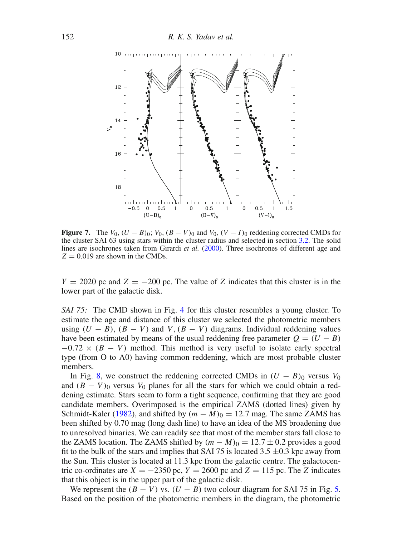<span id="page-9-0"></span>

**Figure 7.** The  $V_0$ ,  $(U - B)_0$ ;  $V_0$ ,  $(B - V)_0$  and  $V_0$ ,  $(V - I)_0$  reddening corrected CMDs for the cluster SAI 63 using stars within the cluster radius and selected in section [3.2.](#page-6-1) The solid lines are isochrones taken from Girardi *et al.* [\(2000\)](#page-13-11). Three isochrones of different age and  $Z = 0.019$  are shown in the CMDs.

 $Y = 2020$  pc and  $Z = -200$  pc. The value of *Z* indicates that this cluster is in the lower part of the galactic disk.

*SAI 75:* The CMD shown in Fig. [4](#page-6-0) for this cluster resembles a young cluster. To estimate the age and distance of this cluster we selected the photometric members using  $(U - B)$ ,  $(B - V)$  and  $V$ ,  $(B - V)$  diagrams. Individual reddening values have been estimated by means of the usual reddening free parameter  $Q = (U - B)$  $-0.72 \times (B - V)$  method. This method is very useful to isolate early spectral type (from O to A0) having common reddening, which are most probable cluster members.

In Fig. [8,](#page-10-0) we construct the reddening corrected CMDs in  $(U - B)_0$  versus  $V_0$ and  $(B - V)_0$  versus  $V_0$  planes for all the stars for which we could obtain a reddening estimate. Stars seem to form a tight sequence, confirming that they are good candidate members. Overimposed is the empirical ZAMS (dotted lines) given by Schmidt-Kaler (1982), and shifted by  $(m - M)_0 = 12.7$  mag. The same ZAMS has been shifted by 0.70 mag (long dash line) to have an idea of the MS broadening due to unresolved binaries. We can readily see that most of the member stars fall close to the ZAMS location. The ZAMS shifted by  $(m - M)_0 = 12.7 \pm 0.2$  provides a good fit to the bulk of the stars and implies that SAI 75 is located 3.5  $\pm$ 0.3 kpc away from the Sun. This cluster is located at 11.3 kpc from the galactic centre. The galactocentric co-ordinates are  $X = -2350$  pc,  $Y = 2600$  pc and  $Z = 115$  pc. The *Z* indicates that this object is in the upper part of the galactic disk.

We represent the  $(B - V)$  vs.  $(U - B)$  two colour diagram for SAI 75 in Fig. [5.](#page-7-1) Based on the position of the photometric members in the diagram, the photometric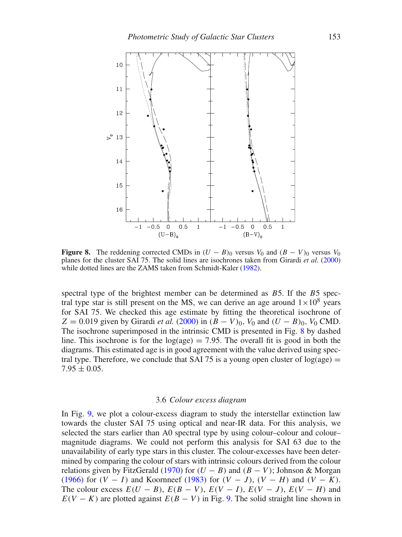<span id="page-10-0"></span>

**Figure 8.** The reddening corrected CMDs in  $(U - B)_0$  versus  $V_0$  and  $(B - V)_0$  versus  $V_0$ planes for the cluster SAI 75. The solid lines are isochrones taken from Girardi *et al.* [\(2000\)](#page-13-11) while dotted lines are the ZAMS taken from Schmidt-Kaler (1982).

spectral type of the brightest member can be determined as *B*5. If the *B*5 spectral type star is still present on the MS, we can derive an age around  $1 \times 10^8$  years for SAI 75. We checked this age estimate by fitting the theoretical isochrone of  $Z = 0.019$  given by Girardi *et al.* [\(2000\)](#page-13-11) in  $(B - V)_0$ ,  $V_0$  and  $(U - B)_0$ ,  $V_0$  CMD. The isochrone superimposed in the intrinsic CMD is presented in Fig. [8](#page-10-0) by dashed line. This isochrone is for the  $log(age) = 7.95$ . The overall fit is good in both the diagrams. This estimated age is in good agreement with the value derived using spectral type. Therefore, we conclude that SAI 75 is a young open cluster of  $log(age)$  =  $7.95 \pm 0.05$ .

#### 3.6 *Colour excess diagram*

In Fig. [9,](#page-11-0) we plot a colour-excess diagram to study the interstellar extinction law towards the cluster SAI 75 using optical and near-IR data. For this analysis, we selected the stars earlier than A0 spectral type by using colour–colour and colour– magnitude diagrams. We could not perform this analysis for SAI 63 due to the unavailability of early type stars in this cluster. The colour-excesses have been determined by comparing the colour of stars with intrinsic colours derived from the colour relations given by FitzGerald [\(1970\)](#page-13-12) for  $(U - B)$  and  $(B - V)$ ; Johnson & Morgan [\(1966\)](#page-13-13) for *(V* − *I)* and Koornneef [\(1983\)](#page-13-14) for *(V* − *J)*, *(V* − *H)* and *(V* − *K)*. The colour excess  $E(U - B)$ ,  $E(B - V)$ ,  $E(V - I)$ ,  $E(V - J)$ ,  $E(V - H)$  and  $E(V - K)$  are plotted against  $E(B - V)$  in Fig. [9.](#page-11-0) The solid straight line shown in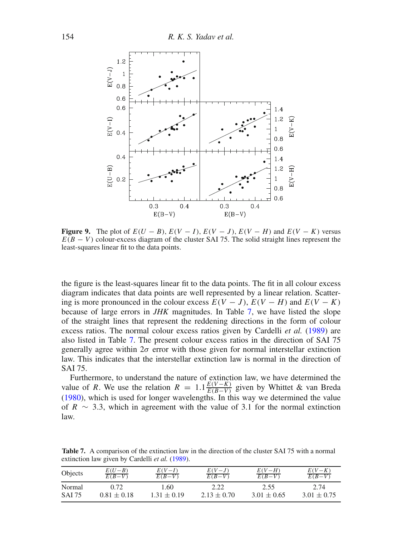<span id="page-11-0"></span>

**Figure 9.** The plot of  $E(U - B)$ ,  $E(V - I)$ ,  $E(V - J)$ ,  $E(V - H)$  and  $E(V - K)$  versus  $E(B - V)$  colour-excess diagram of the cluster SAI 75. The solid straight lines represent the least-squares linear fit to the data points.

the figure is the least-squares linear fit to the data points. The fit in all colour excess diagram indicates that data points are well represented by a linear relation. Scattering is more pronounced in the colour excess  $E(V - J)$ ,  $E(V - H)$  and  $E(V - K)$ because of large errors in *JHK* magnitudes. In Table [7,](#page-11-1) we have listed the slope of the straight lines that represent the reddening directions in the form of colour excess ratios. The normal colour excess ratios given by Cardelli *et al.* [\(1989\)](#page-13-10) are also listed in Table [7.](#page-11-1) The present colour excess ratios in the direction of SAI 75 generally agree within  $2\sigma$  error with those given for normal interstellar extinction law. This indicates that the interstellar extinction law is normal in the direction of SAI 75.

Furthermore, to understand the nature of extinction law, we have determined the value of *R*. We use the relation  $R = 1.1 \frac{E(V-K)}{E(B-V)}$  given by Whittet & van Breda [\(1980\)](#page-13-15), which is used for longer wavelengths. In this way we determined the value of *R*  $\sim$  3.3, which in agreement with the value of 3.1 for the normal extinction law.

<span id="page-11-1"></span>**Table 7.** A comparison of the extinction law in the direction of the cluster SAI 75 with a normal extinction law given by Cardelli *et al.* [\(1989\)](#page-13-10).

| Objects | $\frac{E(U-B)}{E(B-V)}$ | $rac{E(V-I)}{E(B-V)}$ | $rac{E(V-J)}{E(B-V)}$ | $rac{E(V-H)}{E(B-V)}$ | $rac{E(V-K)}{E(B-V)}$ |
|---------|-------------------------|-----------------------|-----------------------|-----------------------|-----------------------|
| Normal  | 0.72                    | 1.60                  | 2.22                  | 2.55                  | 2.74                  |
| SAI 75  | $0.81 \pm 0.18$         | $1.31 \pm 0.19$       | $2.13 \pm 0.70$       | $3.01 \pm 0.65$       | $3.01 \pm 0.75$       |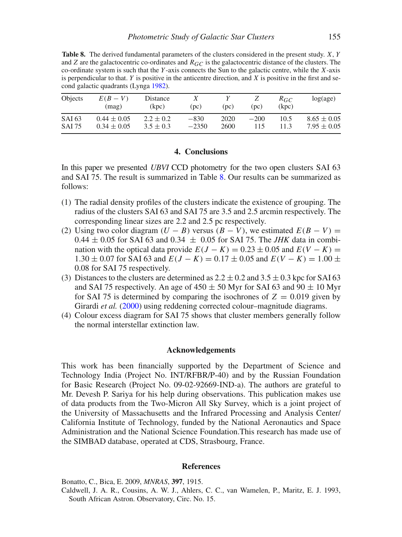<span id="page-12-2"></span>**Table 8.** The derived fundamental parameters of the clusters considered in the present study. *X*, *Y* and *Z* are the galactocentric co-ordinates and  $R_{GC}$  is the galactocentric distance of the clusters. The co-ordinate system is such that the *Y*-axis connects the Sun to the galactic centre, while the *X*-axis is perpendicular to that. *Y* is positive in the anticentre direction, and *X* is positive in the first and second galactic quadrants (Lynga [1982\)](#page-13-16).

| Objects       | $E(B-V)$<br>(mag) | Distance<br>(kpc) | (nc)    | (pc) | ∠<br>(pc) | $R_{GC}$<br>(kpc) | log(age)        |
|---------------|-------------------|-------------------|---------|------|-----------|-------------------|-----------------|
| SAI 63        | $0.44 \pm 0.05$   | $2.2 \pm 0.2$     | $-830$  | 2020 | $-200$    | 10.5              | $8.65 \pm 0.05$ |
| <b>SAI 75</b> | $0.34 \pm 0.05$   | $3.5 \pm 0.3$     | $-2350$ | 2600 | 115       | 11.3              | $7.95 \pm 0.05$ |

## **4. Conclusions**

<span id="page-12-0"></span>In this paper we presented *UBVI* CCD photometry for the two open clusters SAI 63 and SAI 75. The result is summarized in Table [8.](#page-12-2) Our results can be summarized as follows:

- (1) The radial density profiles of the clusters indicate the existence of grouping. The radius of the clusters SAI 63 and SAI 75 are 3.5 and 2.5 arcmin respectively. The corresponding linear sizes are 2.2 and 2.5 pc respectively.
- (2) Using two color diagram  $(U B)$  versus  $(B V)$ , we estimated  $E(B V) =$  $0.44 \pm 0.05$  for SAI 63 and  $0.34 \pm 0.05$  for SAI 75. The *JHK* data in combination with the optical data provide  $E(J - K) = 0.23 \pm 0.05$  and  $E(V - K) =$  $1.30 \pm 0.07$  for SAI 63 and  $E(J - K) = 0.17 \pm 0.05$  and  $E(V - K) = 1.00 \pm 0.07$ 0.08 for SAI 75 respectively.
- (3) Distances to the clusters are determined as  $2.2 \pm 0.2$  and  $3.5 \pm 0.3$  kpc for SAI 63 and SAI 75 respectively. An age of  $450 \pm 50$  Myr for SAI 63 and  $90 \pm 10$  Myr for SAI 75 is determined by comparing the isochrones of  $Z = 0.019$  given by Girardi *et al.* [\(2000\)](#page-13-11) using reddening corrected colour–magnitude diagrams.
- (4) Colour excess diagram for SAI 75 shows that cluster members generally follow the normal interstellar extinction law.

### **Acknowledgements**

This work has been financially supported by the Department of Science and Technology India (Project No. INT/RFBR/P-40) and by the Russian Foundation for Basic Research (Project No. 09-02-92669-IND-a). The authors are grateful to Mr. Devesh P. Sariya for his help during observations. This publication makes use of data products from the Two-Micron All Sky Survey, which is a joint project of the University of Massachusetts and the Infrared Processing and Analysis Center/ California Institute of Technology, funded by the National Aeronautics and Space Administration and the National Science Foundation.This research has made use of the SIMBAD database, operated at CDS, Strasbourg, France.

#### **References**

<span id="page-12-1"></span>Bonatto, C., Bica, E. 2009, *MNRAS*, **397**, 1915.

Caldwell, J. A. R., Cousins, A. W. J., Ahlers, C. C., van Wamelen, P., Maritz, E. J. 1993, South African Astron. Observatory, Circ. No. 15.